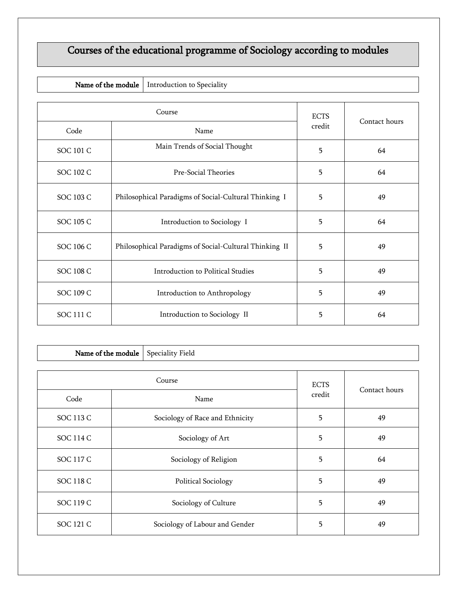## Courses of the educational programme of Sociology according to modules

|  | Name of the module   Introduction to Speciality |
|--|-------------------------------------------------|
|--|-------------------------------------------------|

| Course           |                                                        | <b>ECTS</b> |               |
|------------------|--------------------------------------------------------|-------------|---------------|
| Code             | Name                                                   | credit      | Contact hours |
| <b>SOC 101 C</b> | Main Trends of Social Thought                          | 5           | 64            |
| SOC 102 C        | Pre-Social Theories                                    | 5           | 64            |
| SOC 103 C        | Philosophical Paradigms of Social-Cultural Thinking I  | 5           | 49            |
| SOC 105 C        | Introduction to Sociology I                            | 5           | 64            |
| SOC 106 C        | Philosophical Paradigms of Social-Cultural Thinking II | 5           | 49            |
| <b>SOC 108 C</b> | Introduction to Political Studies                      | 5           | 49            |
| SOC 109 C        | Introduction to Anthropology                           | 5           | 49            |
| SOC 111 C        | Introduction to Sociology II                           | 5           | 64            |

| Name of the module<br>Speciality Field |  |                                 |        |               |
|----------------------------------------|--|---------------------------------|--------|---------------|
| Course                                 |  | <b>ECTS</b>                     |        |               |
| Code                                   |  | Name                            | credit | Contact hours |
| <b>SOC 113 C</b>                       |  | Sociology of Race and Ethnicity | 5      | 49            |
| SOC 114 C                              |  | Sociology of Art                | 5      | 49            |
| SOC 117 C                              |  | Sociology of Religion           | 5      | 64            |
| SOC 118 C                              |  | <b>Political Sociology</b>      | 5      | 49            |
| SOC 119 C                              |  | Sociology of Culture            | 5      | 49            |
| SOC 121 C                              |  | Sociology of Labour and Gender  | 5      | 49            |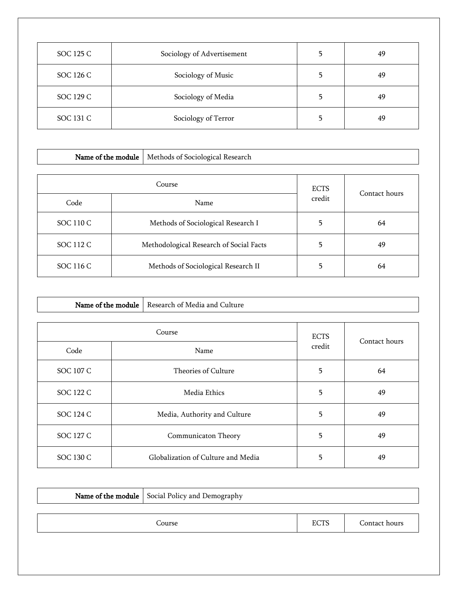| SOC 125 C | Sociology of Advertisement | 49 |
|-----------|----------------------------|----|
| SOC 126 C | Sociology of Music         | 49 |
| SOC 129 C | Sociology of Media         | 49 |
| SOC 131 C | Sociology of Terror        | 49 |

| Name of the module |  | Methods of Sociological Research        |               |    |  |
|--------------------|--|-----------------------------------------|---------------|----|--|
|                    |  |                                         |               |    |  |
| Course             |  | <b>ECTS</b>                             | Contact hours |    |  |
| Code               |  | Name                                    | credit        |    |  |
| SOC 110 C          |  | Methods of Sociological Research I      | 5             | 64 |  |
| SOC 112 C          |  | Methodological Research of Social Facts | 5             | 49 |  |
| SOC 116 C          |  | Methods of Sociological Research II     | 5             | 64 |  |

Г

|           |  | Name of the module   Research of Media and Culture |        |               |
|-----------|--|----------------------------------------------------|--------|---------------|
| Course    |  | <b>ECTS</b>                                        |        |               |
| Code      |  | Name                                               | credit | Contact hours |
| SOC 107 C |  | Theories of Culture                                | 5      | 64            |
| SOC 122 C |  | Media Ethics                                       | 5      | 49            |
| SOC 124 C |  | Media, Authority and Culture                       | 5      | 49            |
| SOC 127 C |  | Communicaton Theory                                | 5      | 49            |
| SOC 130 C |  | Globalization of Culture and Media                 | 5      | 49            |

| <b>Name of the module</b> Social Policy and Demography |             |               |
|--------------------------------------------------------|-------------|---------------|
|                                                        |             |               |
| Course                                                 | <b>ECTS</b> | Contact hours |